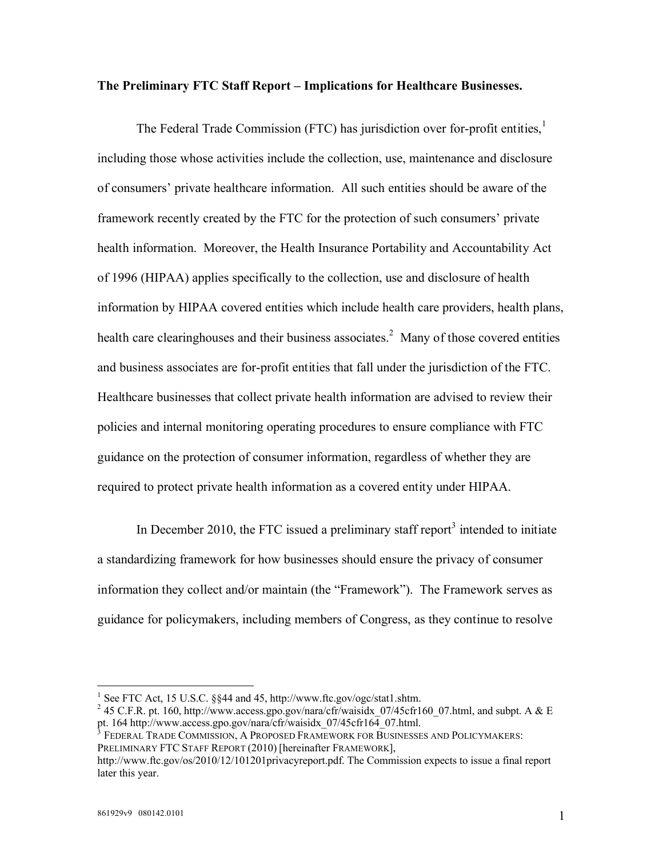### **The Preliminary FTC Staff Report – Implications for Healthcare Businesses.**

The Federal Trade Commission (FTC) has jurisdiction over for-profit entities,<sup>1</sup> including those whose activities include the collection, use, maintenance and disclosure of consumers' private healthcare information. All such entities should be aware of the framework recently created by the FTC for the protection of such consumers' private health information. Moreover, the Health Insurance Portability and Accountability Act of 1996 (HIPAA) applies specifically to the collection, use and disclosure of health information by HIPAA covered entities which include health care providers, health plans, health care clearinghouses and their business associates.<sup>2</sup> Many of those covered entities and business associates are for-profit entities that fall under the jurisdiction of the FTC. Healthcare businesses that collect private health information are advised to review their policies and internal monitoring operating procedures to ensure compliance with FTC guidance on the protection of consumer information, regardless of whether they are required to protect private health information as a covered entity under HIPAA.

In December 2010, the FTC issued a preliminary staff report $3$  intended to initiate a standardizing framework for how businesses should ensure the privacy of consumer information they collect and/or maintain (the "Framework"). The Framework serves as guidance for policymakers, including members of Congress, as they continue to resolve

<sup>&</sup>lt;sup>1</sup> See FTC Act, 15 U.S.C. §§44 and 45, [http://](http://www.ftc.gov/ogc/stat1.shtm.)<www.ftc.gov/ogc/stat1.shtm.>

<sup>&</sup>lt;sup>2</sup> 45 C.F.R. pt. 160, [http://w](http://www.access.gpo.gov/nara/cfr/waisidx_07/45cfr160_07.html,)[ww.access.gpo.gov/nara/cfr/waisidx\\_07/45cfr160\\_07.html,](www.access.gpo.gov/nara/cfr/waisidx_07/45cfr160_07.html,) and subpt. A & E pt. 164 [http://](http://www.access.gpo.gov/nara/cfr/waisidx_07/45cfr164_07.html.)www.access.gpo.gov/nara/cfr/waisidx  $07/45$ cfr164 $07.$ html.

<sup>3</sup> FEDERAL TRADE COMMISSION, A PROPOSED FRAMEWORK FOR BUSINESSES AND POLICYMAKERS: PRELIMINARY FTC STAFF REPORT (2010) [hereinafter FRAMEWORK],

[http://w](http://www.ftc.gov/os/2010/12/101201privacyreport.pdf.)[ww.ftc.gov/os/2010/12/101201privacyreport.pdf.](www.ftc.gov/os/2010/12/101201privacyreport.pdf.) The Commission expects to issue a final report later this year.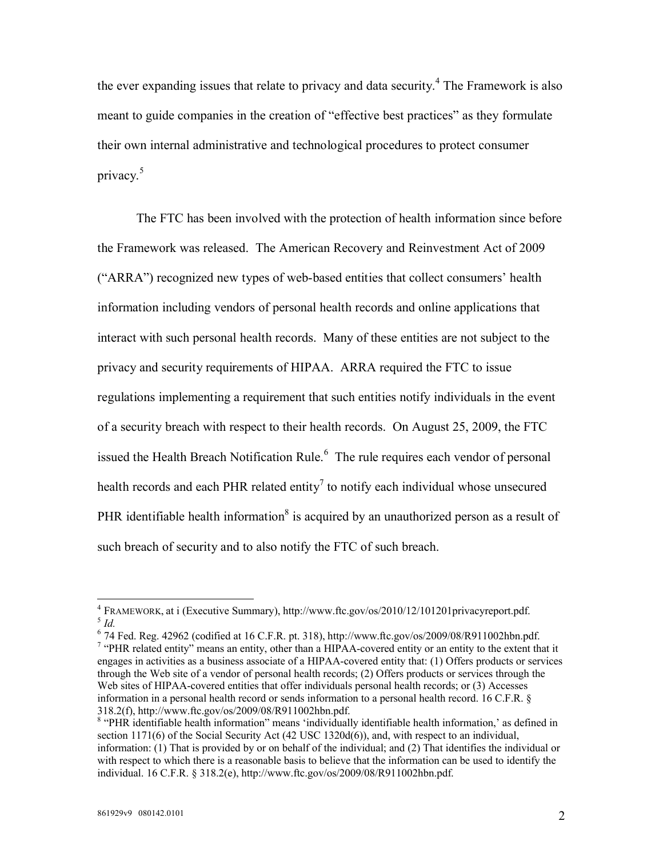the ever expanding issues that relate to privacy and data security. 4 The Framework is also meant to guide companies in the creation of "effective best practices" as they formulate their own internal administrative and technological procedures to protect consumer privacy. 5

The FTC has been involved with the protection of health information since before the Framework was released. The American Recovery and Reinvestment Act of 2009 ("ARRA") recognized new types of web-based entities that collect consumers' health information including vendors of personal health records and online applications that interact with such personal health records. Many of these entities are not subject to the privacy and security requirements of HIPAA. ARRA required the FTC to issue regulations implementing a requirement that such entities notify individuals in the event of a security breach with respect to their health records. On August 25, 2009, the FTC issued the Health Breach Notification Rule.<sup>6</sup> The rule requires each vendor of personal health records and each PHR related entity<sup>7</sup> to notify each individual whose unsecured PHR identifiable health information<sup>8</sup> is acquired by an unauthorized person as a result of such breach of security and to also notify the FTC of such breach.

 $6$  74 Fed. Reg. 42962 (codified at 16 C.F.R. pt. 318), [http://w](http://www.ftc.gov/os/2009/08/R911002hbn.pdf.)[ww.ftc.gov/os/2009/08/R911002hbn.pdf.](www.ftc.gov/os/2009/08/R911002hbn.pdf.)

<sup>7</sup> "PHR related entity" means an entity, other than a HIPAA-covered entity or an entity to the extent that it engages in activities as a business associate of a HIPAA-covered entity that: (1) Offers products or services through the Web site of a vendor of personal health records; (2) Offers products or services through the Web sites of HIPAA-covered entities that offer individuals personal health records; or (3) Accesses information in a personal health record or sends information to a personal health record. 16 C.F.R. § 318.2(f), [http://](http://www.ftc.gov/os/2009/08/R911002hbn.pdf.)<www.ftc.gov/os/2009/08/R911002hbn.pdf.>

<sup>4</sup> FRAMEWORK, at i (Executive Summary), [http://](http://www.ftc.gov/os/2010/12/101201privacyreport.pdf.)<www.ftc.gov/os/2010/12/101201privacyreport.pdf.> 5 *Id.*

<sup>&</sup>lt;sup>8</sup> "PHR identifiable health information" means 'individually identifiable health information,' as defined in section 1171(6) of the Social Security Act (42 USC 1320d(6)), and, with respect to an individual, information: (1) That is provided by or on behalf of the individual; and (2) That identifies the individual or with respect to which there is a reasonable basis to believe that the information can be used to identify the individual. 16 C.F.R. § 318.2(e), [http://w](http://www.ftc.gov/os/2009/08/R911002hbn.pdf.)[ww.ftc.gov/os/2009/08/R911002hbn.pdf.](www.ftc.gov/os/2009/08/R911002hbn.pdf.)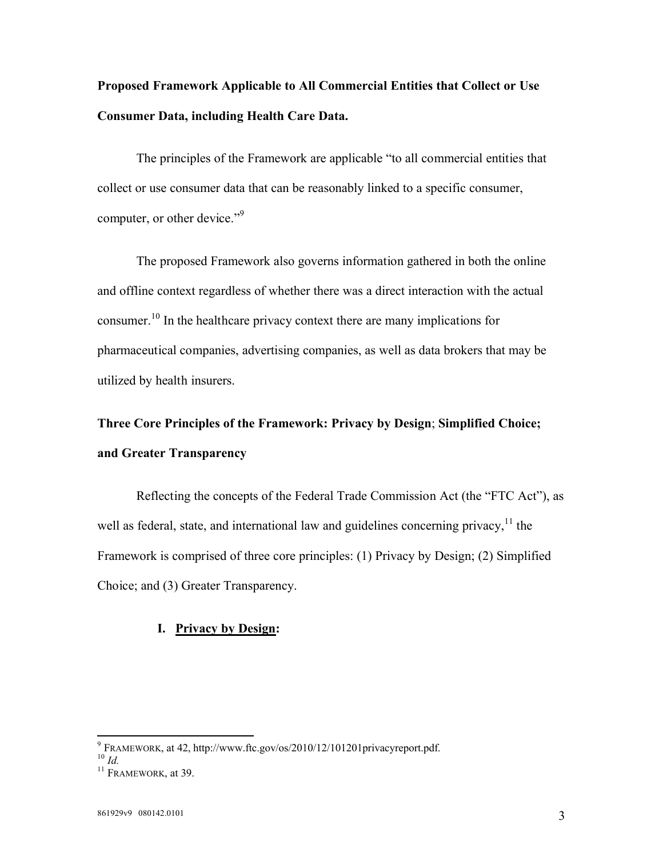# **Proposed Framework Applicable to All Commercial Entities that Collect or Use Consumer Data, including Health Care Data.**

The principles of the Framework are applicable "to all commercial entities that collect or use consumer data that can be reasonably linked to a specific consumer, computer, or other device."<sup>9</sup>

The proposed Framework also governs information gathered in both the online and offline context regardless of whether there was a direct interaction with the actual consumer. <sup>10</sup> In the healthcare privacy context there are many implications for pharmaceutical companies, advertising companies, as well as data brokers that may be utilized by health insurers.

**Three Core Principles of the Framework: Privacy by Design**; **Simplified Choice; and Greater Transparency**

Reflecting the concepts of the Federal Trade Commission Act (the "FTC Act"), as well as federal, state, and international law and guidelines concerning privacy.<sup>11</sup> the Framework is comprised of three core principles: (1) Privacy by Design; (2) Simplified Choice; and (3) Greater Transparency.

### **I. Privacy by Design:**

<sup>9</sup> FRAMEWORK, at 42, [http://](http://www.ftc.gov/os/2010/12/101201privacyreport.pdf.)<www.ftc.gov/os/2010/12/101201privacyreport.pdf.>

<sup>10</sup> *Id.*

<sup>&</sup>lt;sup>11</sup> FRAMEWORK, at 39.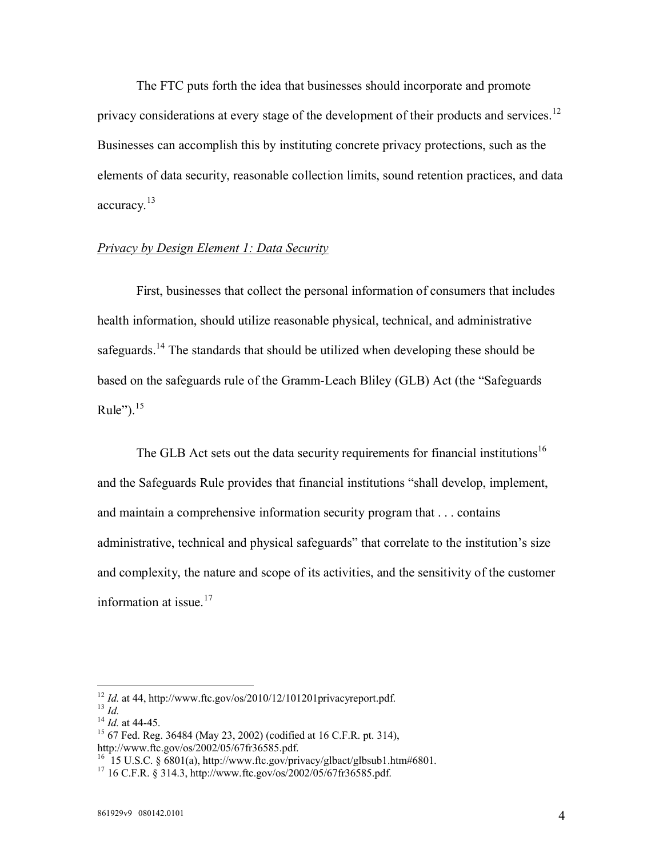The FTC puts forth the idea that businesses should incorporate and promote privacy considerations at every stage of the development of their products and services.<sup>12</sup> Businesses can accomplish this by instituting concrete privacy protections, such as the elements of data security, reasonable collection limits, sound retention practices, and data accuracy.<sup>13</sup>

## *Privacy by Design Element 1: Data Security*

First, businesses that collect the personal information of consumers that includes health information, should utilize reasonable physical, technical, and administrative safeguards.<sup>14</sup> The standards that should be utilized when developing these should be based on the safeguards rule of the Gramm-Leach Bliley (GLB) Act (the "Safeguards Rule"). $15$ 

The GLB Act sets out the data security requirements for financial institutions<sup>16</sup> and the Safeguards Rule provides that financial institutions "shall develop, implement, and maintain a comprehensive information security program that . . . contains administrative, technical and physical safeguards" that correlate to the institution's size and complexity, the nature and scope of its activities, and the sensitivity of the customer information at issue. $17$ 

 $12$  *Id.* at 44, [http://](http://www.ftc.gov/os/2010/12/101201privacyreport.pdf.)<www.ftc.gov/os/2010/12/101201privacyreport.pdf.>

 $\frac{13}{1}$  *Id.* 

<sup>14</sup> *Id.* at 44-45.

<sup>15</sup> 67 Fed. Reg. 36484 (May 23, 2002) (codified at 16 C.F.R. pt. 314), [http://w](http://www.ftc.gov/os/2002/05/67fr36585.pdf.)[ww.ftc.gov/os/2002/05/67fr36585.pdf.](www.ftc.gov/os/2002/05/67fr36585.pdf.)

<sup>&</sup>lt;sup>16</sup> 15 U.S.C. § 6801(a), [http://](http://www.ftc.gov/privacy/glbact/glbsub1.htm#6801.)<www.ftc.gov/privacy/glbact/glbsub1.htm#6801.>

 $17$  16 C.F.R. § 314.3, [http://](http://www.ftc.gov/os/2002/05/67fr36585.pdf.)<www.ftc.gov/os/2002/05/67fr36585.pdf.>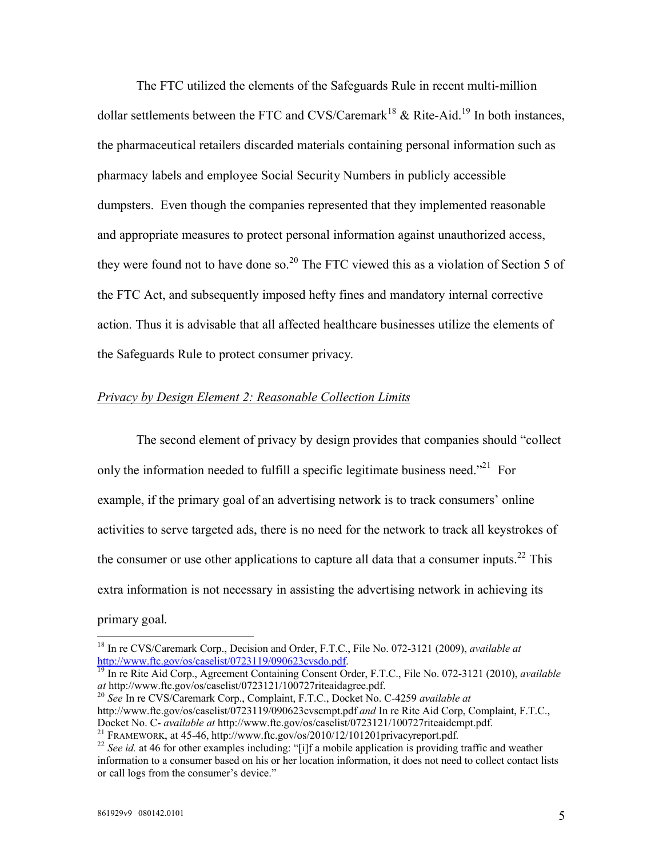The FTC utilized the elements of the Safeguards Rule in recent multi-million dollar settlements between the FTC and CVS/Caremark<sup>18</sup>  $\&$  Rite-Aid.<sup>19</sup> In both instances, the pharmaceutical retailers discarded materials containing personal information such as pharmacy labels and employee Social Security Numbers in publicly accessible dumpsters. Even though the companies represented that they implemented reasonable and appropriate measures to protect personal information against unauthorized access, they were found not to have done so.<sup>20</sup> The FTC viewed this as a violation of Section 5 of the FTC Act, and subsequently imposed hefty fines and mandatory internal corrective action. Thus it is advisable that all affected healthcare businesses utilize the elements of the Safeguards Rule to protect consumer privacy.

### *Privacy by Design Element 2: Reasonable Collection Limits*

The second element of privacy by design provides that companies should "collect only the information needed to fulfill a specific legitimate business need.<sup>321</sup> For example, if the primary goal of an advertising network is to track consumers' online activities to serve targeted ads, there is no need for the network to track all keystrokes of the consumer or use other applications to capture all data that a consumer inputs.<sup>22</sup> This extra information is not necessary in assisting the advertising network in achieving its primary goal.

<sup>18</sup> In re CVS/Caremark Corp., Decision and Order, F.T.C., File No. 072-3121 (2009), *available at* [http://w](http://www.ftc.gov/os/caselist/0723119/090623cvsdo.pdf)[ww.ftc.gov/os/caselist/0723119/090623cvsdo.pdf.](www.ftc.gov/os/caselist/0723119/090623cvsdo.pdf)

<sup>19</sup> In re Rite Aid Corp., Agreement Containing Consent Order, F.T.C., File No. 072-3121 (2010), *available at* [http://](http://www.ftc.gov/os/caselist/0723121/100727riteaidagree.pdf.)<www.ftc.gov/os/caselist/0723121/100727riteaidagree.pdf.>

<sup>20</sup> *See* In re CVS/Caremark Corp., Complaint, F.T.C., Docket No. C-4259 *available at*  [http://w](http://www.ftc.gov/os/caselist/0723119/090623cvscmpt.pdfand)[ww.ftc.gov/os/caselist/0723119/090623cvscmpt.pdf](www.ftc.gov/os/caselist/0723119/090623cvscmpt.pdfand) *and* In re Rite Aid Corp, Complaint, F.T.C., Docket No. C- *available at* [http://w](http://www.ftc.gov/os/caselist/0723121/100727riteaidcmpt.pdf.)[ww.ftc.gov/os/caselist/0723121/100727riteaidcmpt.pdf.](www.ftc.gov/os/caselist/0723121/100727riteaidcmpt.pdf.)

<sup>21</sup> FRAMEWORK, at 45-46, [http://](http://www.ftc.gov/os/2010/12/101201privacyreport.pdf.)<www.ftc.gov/os/2010/12/101201privacyreport.pdf.>

<sup>&</sup>lt;sup>22</sup> See id. at 46 for other examples including: "[i]f a mobile application is providing traffic and weather information to a consumer based on his or her location information, it does not need to collect contact lists or call logs from the consumer's device."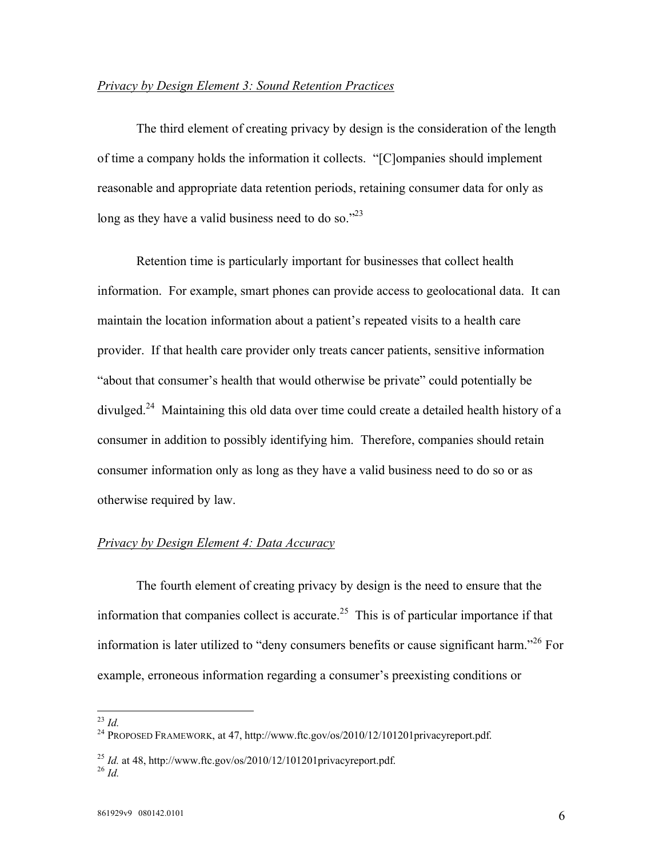### *Privacy by Design Element 3: Sound Retention Practices*

The third element of creating privacy by design is the consideration of the length of time a company holds the information it collects. "[C]ompanies should implement reasonable and appropriate data retention periods, retaining consumer data for only as long as they have a valid business need to do so."<sup>23</sup>

Retention time is particularly important for businesses that collect health information. For example, smart phones can provide access to geolocational data. It can maintain the location information about a patient's repeated visits to a health care provider. If that health care provider only treats cancer patients, sensitive information "about that consumer's health that would otherwise be private" could potentially be divulged.<sup>24</sup> Maintaining this old data over time could create a detailed health history of a consumer in addition to possibly identifying him. Therefore, companies should retain consumer information only as long as they have a valid business need to do so or as otherwise required by law.

### *Privacy by Design Element 4: Data Accuracy*

The fourth element of creating privacy by design is the need to ensure that the information that companies collect is accurate.<sup>25</sup> This is of particular importance if that information is later utilized to "deny consumers benefits or cause significant harm."<sup>26</sup> For example, erroneous information regarding a consumer's preexisting conditions or

<sup>23</sup> *Id.*

<sup>&</sup>lt;sup>24</sup> PROPOSED FRAMEWORK, at 47, [http://w](http://www.ftc.gov/os/2010/12/101201privacyreport.pdf.)[ww.ftc.gov/os/2010/12/101201privacyreport.pdf.](www.ftc.gov/os/2010/12/101201privacyreport.pdf.)

 $^{25}$  *Id.* at 48, [http://](http://www.ftc.gov/os/2010/12/101201privacyreport.pdf.)<www.ftc.gov/os/2010/12/101201privacyreport.pdf.>  $^{26}$  *Id.*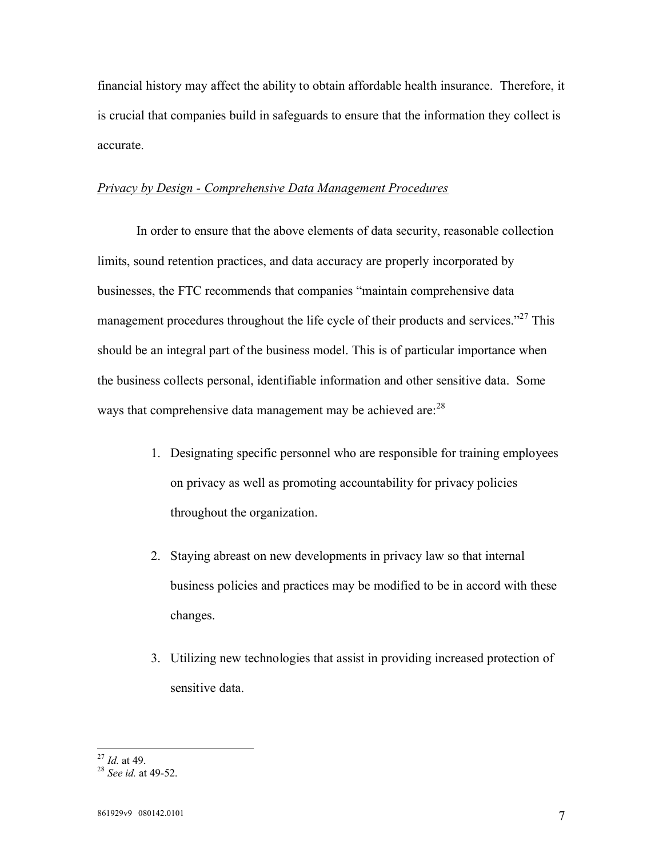financial history may affect the ability to obtain affordable health insurance. Therefore, it is crucial that companies build in safeguards to ensure that the information they collect is accurate.

## *Privacy by Design - Comprehensive Data Management Procedures*

In order to ensure that the above elements of data security, reasonable collection limits, sound retention practices, and data accuracy are properly incorporated by businesses, the FTC recommends that companies "maintain comprehensive data management procedures throughout the life cycle of their products and services."<sup>27</sup> This should be an integral part of the business model. This is of particular importance when the business collects personal, identifiable information and other sensitive data. Some ways that comprehensive data management may be achieved are:<sup>28</sup>

- 1. Designating specific personnel who are responsible for training employees on privacy as well as promoting accountability for privacy policies throughout the organization.
- 2. Staying abreast on new developments in privacy law so that internal business policies and practices may be modified to be in accord with these changes.
- 3. Utilizing new technologies that assist in providing increased protection of sensitive data.

<sup>27</sup> *Id.* at 49.

<sup>28</sup> *See id.* at 49-52.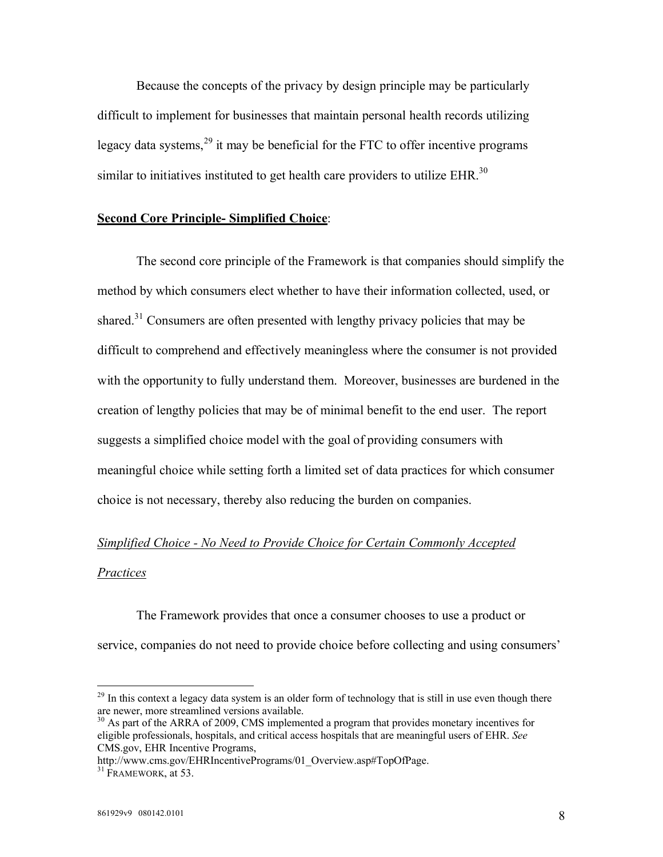Because the concepts of the privacy by design principle may be particularly difficult to implement for businesses that maintain personal health records utilizing legacy data systems,  $29$  it may be beneficial for the FTC to offer incentive programs similar to initiatives instituted to get health care providers to utilize  $EHR$ <sup>30</sup>

### **Second Core Principle- Simplified Choice**:

The second core principle of the Framework is that companies should simplify the method by which consumers elect whether to have their information collected, used, or shared.<sup>31</sup> Consumers are often presented with lengthy privacy policies that may be difficult to comprehend and effectively meaningless where the consumer is not provided with the opportunity to fully understand them. Moreover, businesses are burdened in the creation of lengthy policies that may be of minimal benefit to the end user. The report suggests a simplified choice model with the goal of providing consumers with meaningful choice while setting forth a limited set of data practices for which consumer choice is not necessary, thereby also reducing the burden on companies.

# *Simplified Choice - No Need to Provide Choice for Certain Commonly Accepted*

### *Practices*

The Framework provides that once a consumer chooses to use a product or service, companies do not need to provide choice before collecting and using consumers'

<sup>&</sup>lt;sup>29</sup> In this context a legacy data system is an older form of technology that is still in use even though there are newer, more streamlined versions available.

<sup>&</sup>lt;sup>30</sup> As part of the ARRA of 2009, CMS implemented a program that provides monetary incentives for eligible professionals, hospitals, and critical access hospitals that are meaningful users of EHR. *See*  CMS.gov, EHR Incentive Programs,

[http://w](http://www.cms.gov/EHRIncentivePrograms/01_Overview.asp#TopOfPage.)[ww.cms.gov/EHRIncentivePrograms/01\\_Overview.asp#TopOfPage.](www.cms.gov/EHRIncentivePrograms/01_Overview.asp#TopOfPage.)

 $31$  FRAMEWORK, at 53.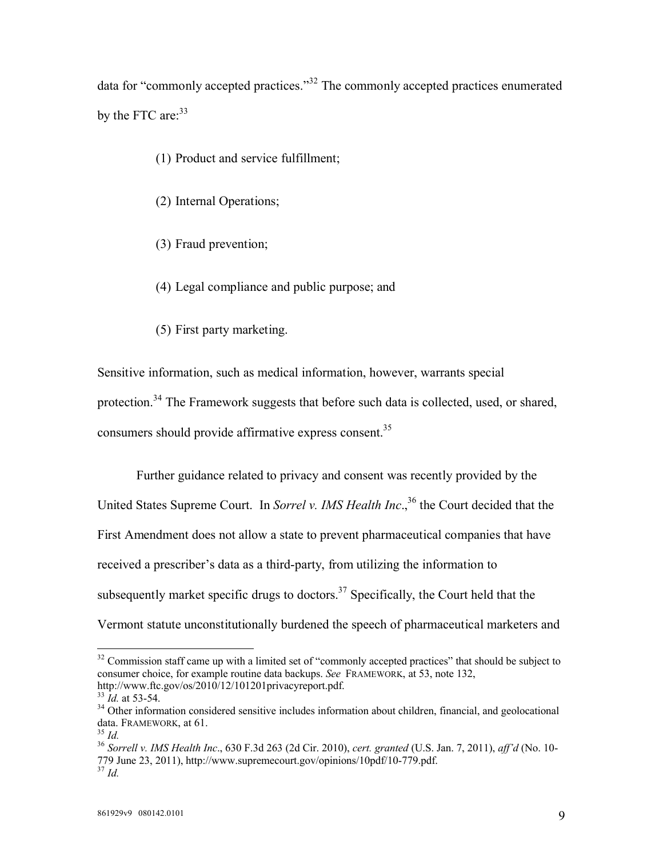data for "commonly accepted practices."<sup>32</sup> The commonly accepted practices enumerated by the FTC are:<sup>33</sup>

(1) Product and service fulfillment;

(2) Internal Operations;

- (3) Fraud prevention;
- (4) Legal compliance and public purpose; and
- (5) First party marketing.

Sensitive information, such as medical information, however, warrants special

protection.<sup>34</sup> The Framework suggests that before such data is collected, used, or shared,

consumers should provide affirmative express consent.<sup>35</sup>

Further guidance related to privacy and consent was recently provided by the United States Supreme Court. In *Sorrel v. IMS Health Inc*., <sup>36</sup> the Court decided that the First Amendment does not allow a state to prevent pharmaceutical companies that have received a prescriber's data as a third-party, from utilizing the information to subsequently market specific drugs to doctors. $37$  Specifically, the Court held that the Vermont statute unconstitutionally burdened the speech of pharmaceutical marketers and

 $32$  Commission staff came up with a limited set of "commonly accepted practices" that should be subject to consumer choice, for example routine data backups. *See* FRAMEWORK, at 53, note 132, [http://w](http://www.ftc.gov/os/2010/12/101201privacyreport.pdf.)[ww.ftc.gov/os/2010/12/101201privacyreport.pdf.](www.ftc.gov/os/2010/12/101201privacyreport.pdf.)

<sup>33</sup> *Id.* at 53-54.

<sup>&</sup>lt;sup>34</sup> Other information considered sensitive includes information about children, financial, and geolocational data. FRAMEWORK, at 61.

<sup>35</sup> *Id.*

<sup>36</sup> *Sorrell v. IMS Health Inc*., 630 F.3d 263 (2d Cir. 2010), *cert. granted* (U.S. Jan. 7, 2011), *aff'd* (No. 10- 779 June 23, 2011), [http://w](http://www.supremecourt.gov/opinions/10pdf/10-779.pdf.)[ww.supremecourt.gov/opinions/10pdf/10-779.pdf.](www.supremecourt.gov/opinions/10pdf/10-779.pdf.) <sup>37</sup> *Id.*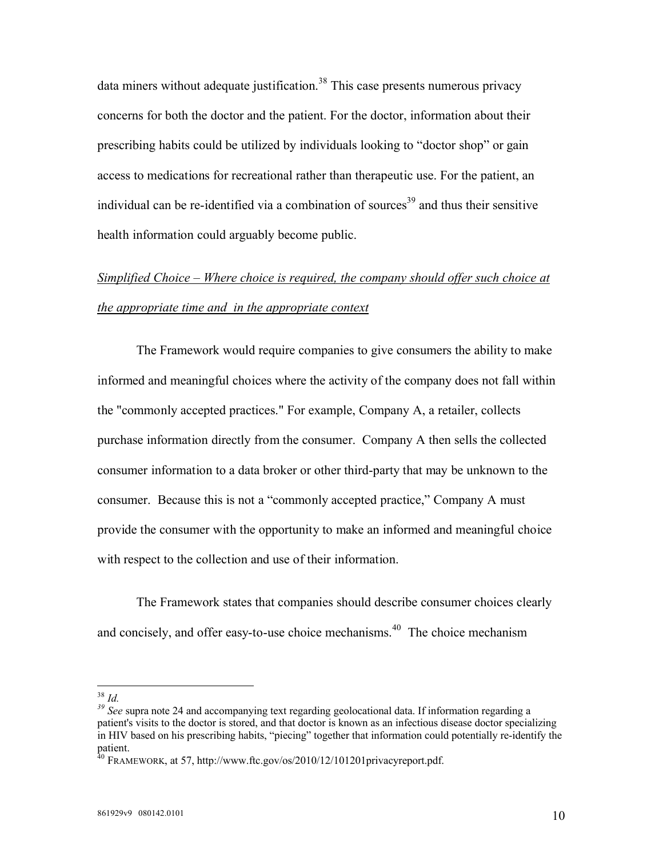data miners without adequate justification.<sup>38</sup> This case presents numerous privacy concerns for both the doctor and the patient. For the doctor, information about their prescribing habits could be utilized by individuals looking to "doctor shop" or gain access to medications for recreational rather than therapeutic use. For the patient, an individual can be re-identified via a combination of sources<sup>39</sup> and thus their sensitive health information could arguably become public.

# *Simplified Choice – Where choice is required, the company should offer such choice at the appropriate time and in the appropriate context*

The Framework would require companies to give consumers the ability to make informed and meaningful choices where the activity of the company does not fall within the "commonly accepted practices." For example, Company A, a retailer, collects purchase information directly from the consumer. Company A then sells the collected consumer information to a data broker or other third-party that may be unknown to the consumer. Because this is not a "commonly accepted practice," Company A must provide the consumer with the opportunity to make an informed and meaningful choice with respect to the collection and use of their information.

The Framework states that companies should describe consumer choices clearly and concisely, and offer easy-to-use choice mechanisms.<sup>40</sup> The choice mechanism

<sup>38</sup> *Id.*

*<sup>39</sup> See* supra note 24 and accompanying text regarding geolocational data. If information regarding a patient's visits to the doctor is stored, and that doctor is known as an infectious disease doctor specializing in HIV based on his prescribing habits, "piecing" together that information could potentially re-identify the patient.

 $^{40}$  FRAMEWORK, at 57, [http://w](http://www.ftc.gov/os/2010/12/101201privacyreport.pdf.)[ww.ftc.gov/os/2010/12/101201privacyreport.pdf.](www.ftc.gov/os/2010/12/101201privacyreport.pdf.)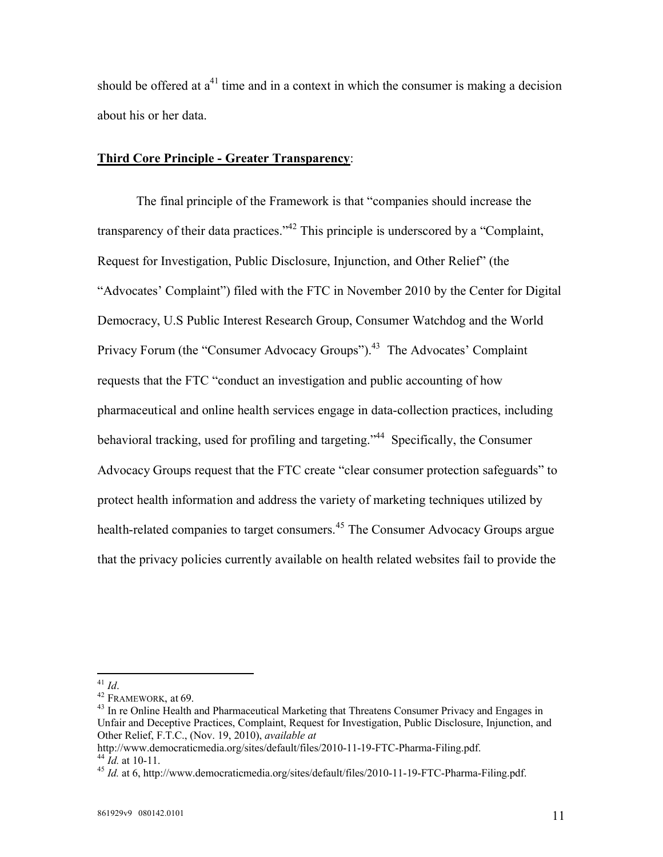should be offered at  $a^{41}$  time and in a context in which the consumer is making a decision about his or her data.

### **Third Core Principle - Greater Transparency**:

The final principle of the Framework is that "companies should increase the transparency of their data practices."<sup>42</sup> This principle is underscored by a "Complaint, Request for Investigation, Public Disclosure, Injunction, and Other Relief" (the "Advocates' Complaint") filed with the FTC in November 2010 by the Center for Digital Democracy, U.S Public Interest Research Group, Consumer Watchdog and the World Privacy Forum (the "Consumer Advocacy Groups").<sup>43</sup> The Advocates' Complaint requests that the FTC "conduct an investigation and public accounting of how pharmaceutical and online health services engage in data-collection practices, including behavioral tracking, used for profiling and targeting.<sup>344</sup> Specifically, the Consumer Advocacy Groups request that the FTC create "clear consumer protection safeguards" to protect health information and address the variety of marketing techniques utilized by health-related companies to target consumers.<sup>45</sup> The Consumer Advocacy Groups argue that the privacy policies currently available on health related websites fail to provide the

<sup>41</sup> *Id*.

 $42$  FRAMEWORK, at 69.

 $43$  In re Online Health and Pharmaceutical Marketing that Threatens Consumer Privacy and Engages in Unfair and Deceptive Practices, Complaint, Request for Investigation, Public Disclosure, Injunction, and Other Relief, F.T.C., (Nov. 19, 2010), *available at* 

[http://w](http://www.democraticmedia.org/sites/default/files/2010-11-19-FTC-Pharma-Filing.pdf.)[ww.democraticmedia.org/sites/default/files/2010-11-19-FTC-Pharma-Filing.pdf.](www.democraticmedia.org/sites/default/files/2010-11-19-FTC-Pharma-Filing.pdf.)  $^{44}$   $\dot{I}$ *d.* at 10-11.

<sup>45</sup> *Id.* at 6, [http://](http://www.democraticmedia.org/sites/default/files/2010-11-19-FTC-Pharma-Filing.pdf.)<www.democraticmedia.org/sites/default/files/2010-11-19-FTC-Pharma-Filing.pdf.>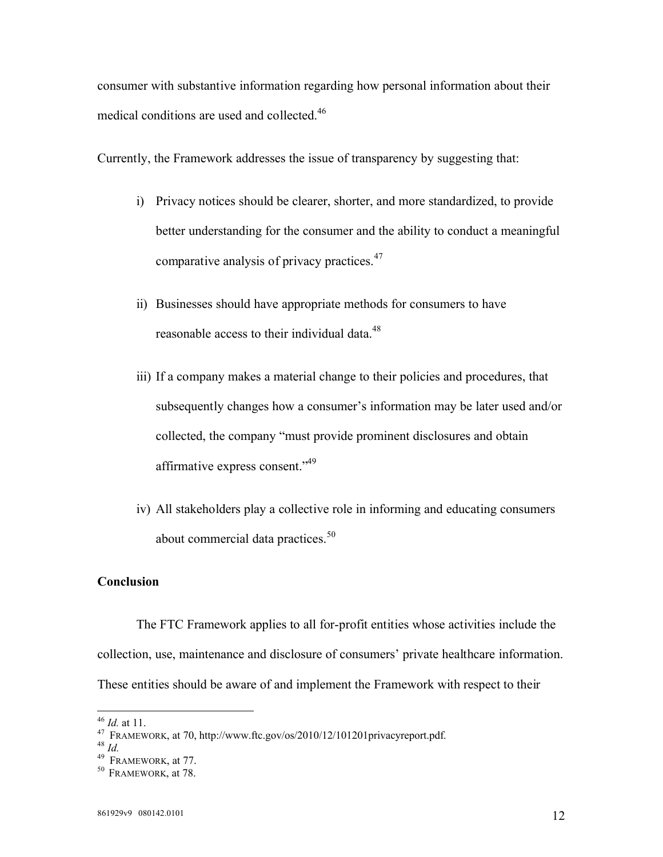consumer with substantive information regarding how personal information about their medical conditions are used and collected.<sup>46</sup>

Currently, the Framework addresses the issue of transparency by suggesting that:

- i) Privacy notices should be clearer, shorter, and more standardized, to provide better understanding for the consumer and the ability to conduct a meaningful comparative analysis of privacy practices.<sup>47</sup>
- ii) Businesses should have appropriate methods for consumers to have reasonable access to their individual data.<sup>48</sup>
- iii) If a company makes a material change to their policies and procedures, that subsequently changes how a consumer's information may be later used and/or collected, the company "must provide prominent disclosures and obtain affirmative express consent."<sup>49</sup>
- iv) All stakeholders play a collective role in informing and educating consumers about commercial data practices.<sup>50</sup>

### **Conclusion**

The FTC Framework applies to all for-profit entities whose activities include the collection, use, maintenance and disclosure of consumers' private healthcare information. These entities should be aware of and implement the Framework with respect to their

<sup>46</sup> *Id.* at 11.

 $^{47}$  FRAMEWORK, at 70, [http://w](http://www.ftc.gov/os/2010/12/101201privacyreport.pdf.)[ww.ftc.gov/os/2010/12/101201privacyreport.pdf.](www.ftc.gov/os/2010/12/101201privacyreport.pdf.)

<sup>48</sup> *Id.*

 $49$  FRAMEWORK, at 77.

<sup>&</sup>lt;sup>50</sup> FRAMEWORK, at 78.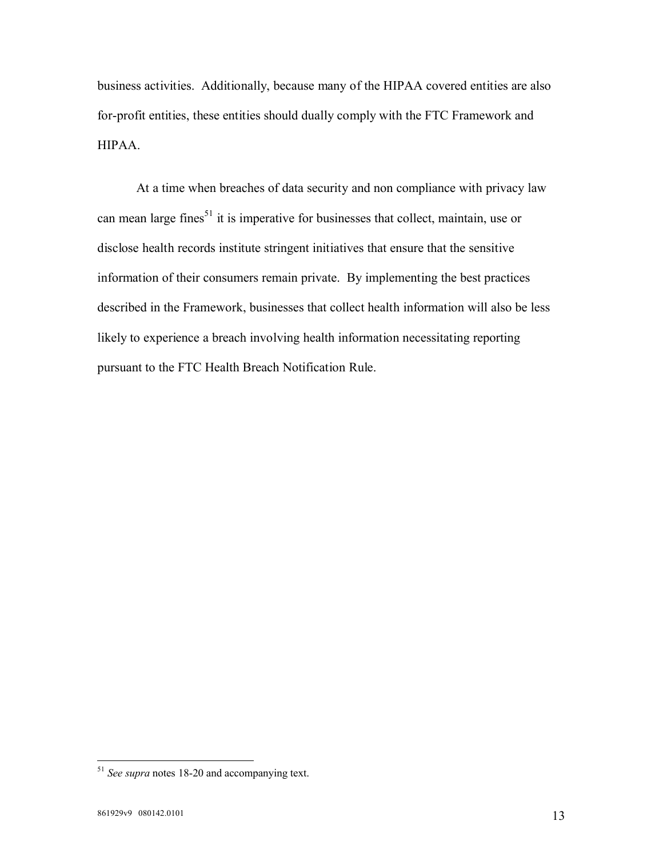business activities. Additionally, because many of the HIPAA covered entities are also for-profit entities, these entities should dually comply with the FTC Framework and HIPAA.

At a time when breaches of data security and non compliance with privacy law can mean large fines<sup>51</sup> it is imperative for businesses that collect, maintain, use or disclose health records institute stringent initiatives that ensure that the sensitive information of their consumers remain private. By implementing the best practices described in the Framework, businesses that collect health information will also be less likely to experience a breach involving health information necessitating reporting pursuant to the FTC Health Breach Notification Rule.

<sup>51</sup> *See supra* notes 18-20 and accompanying text.